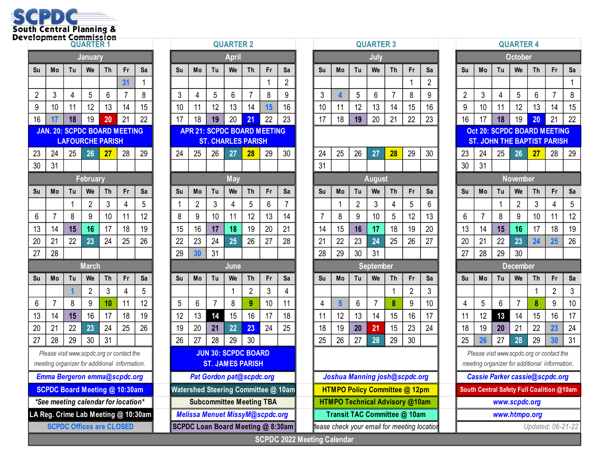

|    |                                                                                            |    | <b>January</b>  |                         |    |    |    |                             |                                         |
|----|--------------------------------------------------------------------------------------------|----|-----------------|-------------------------|----|----|----|-----------------------------|-----------------------------------------|
| Su | Mo                                                                                         | Tu | We              | <b>Th</b>               | Fr | Sa | Su | Mo                          | Tu                                      |
|    |                                                                                            |    |                 |                         | 31 | 1  |    |                             |                                         |
| 2  | 3                                                                                          | 4  | 5               | 6                       | 7  | 8  | 3  | 4                           | 5                                       |
| 9  | 10                                                                                         | 11 | 12              | 13                      | 14 | 15 | 10 | 11                          | 12                                      |
| 16 | 17                                                                                         | 18 | 19              | 20                      | 21 | 22 | 17 | 18                          | 19                                      |
|    | <b>JAN. 20: SCPDC BOARD MEETING</b>                                                        |    |                 | <b>APR 21: SCPDC BO</b> |    |    |    |                             |                                         |
|    |                                                                                            |    |                 | <b>LAFOURCHE PARISH</b> |    |    |    |                             | <b>ST. CHARLES</b>                      |
| 23 | 24                                                                                         | 25 | 26              | 27                      | 28 | 29 | 24 | 25                          | 26                                      |
| 30 | 31                                                                                         |    |                 |                         |    |    |    |                             |                                         |
|    |                                                                                            |    | <b>February</b> |                         |    |    |    |                             |                                         |
| Su | Mo                                                                                         | Tu | We              | Τh                      | Fr | Sa | Su | Mo                          | Tu                                      |
|    |                                                                                            | 1  | 2               | 3                       | 4  | 5  | 1  | 2                           | 3                                       |
| 6  | 7                                                                                          | 8  | 9               | 10                      | 11 | 12 | 8  | 9                           | 10                                      |
| 13 | 14                                                                                         | 15 | 16              | 17                      | 18 | 19 | 15 | 16                          | 17                                      |
| 20 | 21                                                                                         | 22 | 23              | 24                      | 25 | 26 | 22 | 23                          | 24                                      |
| 27 | 28                                                                                         |    |                 |                         |    |    | 29 | 30                          | 31                                      |
|    |                                                                                            |    | <b>March</b>    |                         |    |    |    |                             |                                         |
| Su | Mo                                                                                         | Tu | We              | Τh                      | Fr | Sa | Su | Mo                          | Tu                                      |
|    |                                                                                            | 1  | $\overline{2}$  | 3                       | 4  | 5  |    |                             |                                         |
| 6  | 7                                                                                          | 8  | 9               | 10                      | 11 | 12 | 5  | 6                           | 7                                       |
| 13 | 14                                                                                         | 15 | 16              | 17                      | 18 | 19 | 12 | 13                          | 14                                      |
| 20 | 21                                                                                         | 22 | 23              | 24                      | 25 | 26 | 19 | 20                          | 21                                      |
| 27 | 28                                                                                         | 29 | 30              | 31                      |    |    | 26 | 27                          | 28                                      |
|    | Please visit www.scpdc.org or contact the<br>meeting organizer for additional information. |    |                 |                         |    |    |    |                             | <b>JUN 30: SCPD</b><br><b>ST. JAMES</b> |
|    | Emma Bergeron emma@scpdc.org                                                               |    |                 |                         |    |    |    | Pat Gordon pat(             |                                         |
|    | <b>SCPDC Board Meeting @ 10:30am</b>                                                       |    |                 |                         |    |    |    | <b>Watershed Steering C</b> |                                         |

|                |                |    | <b>QUARTER 1</b>                |           |                                               |    |                                        |                                    |                            | <b>QUARTER 2</b> |                |    |                |  |                          |                         |                | <b>QUARTI</b>   |
|----------------|----------------|----|---------------------------------|-----------|-----------------------------------------------|----|----------------------------------------|------------------------------------|----------------------------|------------------|----------------|----|----------------|--|--------------------------|-------------------------|----------------|-----------------|
| <b>January</b> |                |    |                                 |           |                                               |    |                                        |                                    | <b>April</b>               |                  |                |    |                |  |                          |                         | July           |                 |
| Su             | Mo             | Tu | We                              | <b>Th</b> | Fr                                            | Sa | Su                                     | Mo                                 | Tu                         | We               | <b>Th</b>      | Fr | Sa             |  | Su                       | Mo                      | Tu             | We              |
|                |                |    |                                 |           | 31                                            | 1  |                                        |                                    |                            |                  |                | 1  | $\overline{2}$ |  |                          |                         |                |                 |
| 2              | 3              | 4  | 5                               | 6         | 7                                             | 8  | 3                                      | 4                                  | 5                          | 6                | 7              | 8  | 9              |  | 3                        | 4                       | 5              | 6               |
| 9              | 10             | 11 | 12                              | 13        | 14                                            | 15 | 10                                     | 11                                 | 12                         | 13               | 14             | 15 | 16             |  | 10                       | 11                      | 12             | 13              |
| 16             | 17             | 18 | 19                              | 20        | 21                                            | 22 | 17                                     | 18                                 | 19                         | 20               | 21             | 22 | 23             |  | 17                       | 18                      | 19             | 20              |
|                |                |    |                                 |           | <b>JAN. 20: SCPDC BOARD MEETING</b>           |    |                                        | <b>APR 21: SCPDC BOARD MEETING</b> |                            |                  |                |    |                |  |                          |                         |                |                 |
|                |                |    | <b>LAFOURCHE PARISH</b>         |           |                                               |    |                                        |                                    | <b>ST. CHARLES PARISH</b>  |                  |                |    |                |  |                          |                         |                |                 |
| 23             | 24             | 25 | 26                              | 27        | 28                                            | 29 | 24                                     | 25                                 | 26                         | 27               | 28             | 29 | 30             |  | 24                       | 25                      | 26             | 27 <sub>2</sub> |
| 30             | 31             |    |                                 |           |                                               |    |                                        |                                    |                            |                  |                |    |                |  | 31                       |                         |                |                 |
|                |                |    | <b>February</b>                 |           |                                               |    |                                        |                                    |                            | <b>May</b>       |                |    |                |  |                          |                         |                | <b>Augus</b>    |
| Su             | Mo             | Tu | We                              | <b>Th</b> | Fr                                            | Sa | Su                                     | Mo                                 | Tu                         | We               | <b>Th</b>      | Fr | Sa             |  | Su                       | Mo                      | Tu             | We              |
|                |                | 1  | $\overline{2}$                  | 3         | $\overline{4}$                                | 5  | 1                                      | $\overline{2}$                     | 3                          | 4                | 5              | 6  | $\overline{7}$ |  |                          | 1                       | $\overline{2}$ | 3               |
| 6              | $\overline{7}$ | 8  | 9                               | 10        | 11                                            | 12 | 8                                      | 9                                  | 10                         | 11               | 12             | 13 | 14             |  | 7                        | 8                       | 9              | 10              |
| 13             | 14             | 15 | 16                              | 17        | 18                                            | 19 | 15                                     | 16                                 | 17                         | 18               | 19             | 20 | 21             |  | 14                       | 15                      | 16             | 17              |
| 20             | 21<br>28       | 22 | 23                              | 24        | 25                                            | 26 | 22                                     | 23                                 | 24                         | 25               | 26             | 27 | 28             |  | 21<br>28                 | 22<br>29                | 23<br>30       | 24<br>31        |
| 27             |                |    | <b>March</b>                    |           |                                               |    | 29<br>30<br>31<br>June                 |                                    |                            |                  |                |    |                |  | <b>Septem</b>            |                         |                |                 |
| Su             | Mo             | Tu | We                              | <b>Th</b> | Fr                                            | Sa | Su                                     | Mo                                 | Tu                         | We               | Th             | Fr | Sa             |  | Su                       | Mo                      | Tu             | We              |
|                |                | 1  | $\overline{2}$                  | 3         | $\overline{4}$                                | 5  |                                        |                                    |                            | 1                | $\overline{2}$ | 3  | $\overline{4}$ |  |                          |                         |                |                 |
| 6              | $\overline{7}$ | 8  | 9                               | 10        | 11                                            | 12 | 5                                      | 6                                  | $\overline{7}$             | 8                | 9              | 10 | 11             |  | $\overline{4}$           | 5                       | 6              | $\overline{7}$  |
| 13             | 14             | 15 | 16                              | 17        | 18                                            | 19 | 12                                     | 13                                 | 14                         | 15               | 16             | 17 | 18             |  | 11                       | 12                      | 13             | 14              |
| 20             | 21             | 22 | 23                              | 24        | 25                                            | 26 | 19                                     | 20                                 | 21                         | 22               | 23             | 24 | 25             |  | 18                       | 19                      | 20             | 21              |
| 27             | 28             | 29 | 30                              | 31        |                                               |    | 26                                     | 27                                 | 28                         | 29               | 30             |    |                |  | 25                       | 26                      | 27             | 28              |
|                |                |    |                                 |           | Please visit www.scpdc.org or contact the     |    |                                        |                                    | <b>JUN 30: SCPDC BOARD</b> |                  |                |    |                |  |                          |                         |                |                 |
|                |                |    |                                 |           | meeting organizer for additional information. |    |                                        |                                    | <b>ST. JAMES PARISH</b>    |                  |                |    |                |  |                          |                         |                |                 |
|                |                |    |                                 |           | Emma Bergeron emma@scpdc.org                  |    | Pat Gordon pat@scpdc.org               |                                    |                            |                  |                |    |                |  | Joshua Manning jo        |                         |                |                 |
|                |                |    |                                 |           | <b>SCPDC Board Meeting @ 10:30am</b>          |    | Watershed Steering Committee @ 10am    |                                    |                            |                  |                |    |                |  |                          | <b>HTMPO Policy Com</b> |                |                 |
|                |                |    |                                 |           | *See meeting calendar for location*           |    | <b>Subcommittee Meeting TBA</b>        |                                    |                            |                  |                |    |                |  | <b>HTMPO Technical A</b> |                         |                |                 |
|                |                |    |                                 |           | LA Reg. Crime Lab Meeting @ 10:30am           |    | <b>Melissa Menuet MissyM@scpdc.org</b> |                                    |                            |                  |                |    |                |  | <b>Transit TAC Comn</b>  |                         |                |                 |
|                |                |    | <b>SCPDC Offices are CLOSED</b> |           |                                               |    | SCPDC Loan Board Meeting @ 8:30am      |                                    |                            |                  |                |    |                |  | lease check your email   |                         |                |                 |

| ייייש<br><b>QUARTER 1</b> |          |    |                                               | <b>QUARTER 2</b> |                |                                    |                                     |    |          | <b>QUARTER 3</b> |                                        |           |                |                |                                       |                |                 | <b>QUARTER 4</b> |                |                                             |                                    |                                           |                |          |                                               |           |    |                   |
|---------------------------|----------|----|-----------------------------------------------|------------------|----------------|------------------------------------|-------------------------------------|----|----------|------------------|----------------------------------------|-----------|----------------|----------------|---------------------------------------|----------------|-----------------|------------------|----------------|---------------------------------------------|------------------------------------|-------------------------------------------|----------------|----------|-----------------------------------------------|-----------|----|-------------------|
|                           |          |    | <b>January</b>                                |                  |                |                                    |                                     |    |          | <b>April</b>     |                                        |           |                |                |                                       |                | July            |                  |                |                                             |                                    |                                           |                |          | October                                       |           |    |                   |
| Su                        | Mo       | Tu | We                                            | Th               | Fr             | Sa                                 | Su                                  | Mo | Tu       | We               | Th                                     | <b>Fr</b> | Sa             | Su             | Mo                                    | Tu             | We              | <b>Th</b>        | Fr             | Sa                                          |                                    | Su                                        | Mo             | Tu       | We                                            | Th        | Fr | Sa                |
|                           |          |    |                                               |                  | 31             |                                    |                                     |    |          |                  |                                        |           | 2              |                |                                       |                |                 |                  |                | 2                                           |                                    |                                           |                |          |                                               |           |    |                   |
| $\overline{2}$            | 3        | 4  | 5                                             | 6                | $\overline{7}$ | 8                                  | 3                                   | 4  | 5        | 6                | 7                                      | 8         | 9              | 3              |                                       | 5              | 6               | $\overline{7}$   | 8              | 9                                           |                                    | $\overline{2}$                            | 3              | 4        | 5                                             | 6         | 7  | 8                 |
| 9                         | 10       | 11 | 12                                            | 13               | 14             | 15                                 | 10                                  | 11 | 12       | 13               | 14                                     | 15        | 16             | 10             | 11                                    | 12             | 13              | 14               | 15             | 16                                          |                                    | 9                                         | 10             | 11       | 12                                            | 13        | 14 | 15                |
| 16                        |          | 18 | 19                                            | 20               | 21             | 22                                 | 17                                  | 18 | 19       | 20               | 21                                     | 22        | 23             | 17             | 18                                    | 19             | 20              | 21               | 22             | 23                                          |                                    | 16                                        | 17             | 18       | 19                                            | 20        | 21 | 22                |
|                           |          |    | <b>JAN. 20: SCPDC BOARD MEETING</b>           |                  |                |                                    | <b>APR 21: SCPDC BOARD MEETING</b>  |    |          |                  |                                        |           |                |                |                                       |                |                 |                  |                |                                             | <b>Oct 20: SCPDC BOARD MEETING</b> |                                           |                |          |                                               |           |    |                   |
|                           |          |    | <b>LAFOURCHE PARISH</b>                       |                  |                |                                    |                                     |    |          |                  | <b>ST. CHARLES PARISH</b>              |           |                |                |                                       |                |                 |                  |                |                                             |                                    |                                           |                |          | <b>ST. JOHN THE BAPTIST PARISH</b>            |           |    |                   |
| 23                        | 24       | 25 | 26                                            | <u>27</u>        | 28             | 29                                 | 24                                  | 25 | 26       | 27               | 28                                     | 29        | 30             | 24             | 25                                    | 26             | 27              | 28               | 29             | 30                                          |                                    | 23                                        | 24             | 25       | 26                                            | <u>27</u> | 28 | 29                |
| 30                        | 31       |    |                                               |                  |                |                                    |                                     |    |          |                  |                                        |           |                | 31             |                                       |                |                 |                  |                |                                             |                                    | 30                                        | 31             |          |                                               |           |    |                   |
|                           |          |    | <b>February</b>                               |                  |                |                                    |                                     |    |          | May              |                                        |           |                |                |                                       |                | <b>August</b>   |                  |                |                                             |                                    |                                           |                |          | <b>November</b>                               |           |    |                   |
| Su                        | Mo       | Tu | We                                            | Th               | Fr             | Sa                                 | Su                                  | Mo | Tu       | We               | Th                                     | Fr        | Sa             | Su             | Mo                                    | Tu             | We              | Th               | Fr             | Sa                                          |                                    | Su                                        | Mo             | Tu       | We                                            | <b>Th</b> | Fr | Sa                |
|                           |          |    | $\overline{2}$                                | 3                | 4              | $\overline{5}$                     |                                     | 2  | 3        | 4                | 5                                      | 6         | $\overline{7}$ |                |                                       | $\overline{2}$ | 3               | $\overline{4}$   | 5              | 6                                           |                                    |                                           |                |          | $\overline{2}$                                | 3         | 4  | 5                 |
| 6                         |          | 8  | 9                                             | 10               | 11             | 12                                 | 8                                   | 9  | 10       | 11               | 12                                     | 13        | 14             | $\overline{7}$ | 8                                     | 9              | 10              | 5                | 12             | 13                                          |                                    | 6                                         | $\overline{7}$ | 8        | 9                                             | 10        | 11 | 12                |
| 13                        | 14       | 15 | 16                                            | 17               | 18             | 19                                 | 15                                  | 16 | 17       | 18               | 19                                     | 20        | 21             | 14             | 15                                    | 16             | 17              | 18               | 19             | 20                                          |                                    | 13                                        | 14             | 15       | 16                                            | 17        | 18 | 19                |
| 20                        | 21<br>28 | 22 | 23                                            | 24               | 25             | 26                                 | 22                                  | 23 | 24<br>31 | 25               | 26                                     | 27        | 28             | 21<br>28       | 22                                    | 23<br>30       | 24              | 25               | 26             | 27                                          |                                    | 20<br>27                                  | 21<br>28       | 22<br>29 | 23<br>30                                      | 24        | 25 | 26                |
| 27                        |          |    | <b>March</b>                                  |                  |                |                                    | 29                                  | 30 |          |                  |                                        |           |                |                | 29                                    |                | 31              |                  |                |                                             |                                    |                                           |                |          |                                               |           |    |                   |
| Su                        | Mo       | Tu | We                                            | <b>Th</b>        | Fr             | Sa                                 | Su                                  | Mo | Tu       | June<br>We       | Th                                     | <b>Fr</b> | Sa             | Su             | Mo                                    | Tu             | September<br>We | <b>Th</b>        | Fr             | Sa                                          |                                    | Su                                        | Mo             | Tu       | <b>December</b><br>We                         | <b>Th</b> | Fr | Sa                |
|                           |          | 1  | $\overline{2}$                                | 3                | 4              | 5                                  |                                     |    |          | 1                | $\overline{2}$                         | 3         | 4              |                |                                       |                |                 | 1                | $\overline{2}$ | 3                                           |                                    |                                           |                |          |                                               |           | 2  | 3                 |
| 6                         |          | 8  | 9                                             | 10               | 11             | 12                                 | 5                                   | 6  |          | 8                | 9                                      | 10        | 11             | 4              | 5                                     | 6              |                 | 8                | 9              | 10                                          |                                    | 4                                         | 5              | 6        | $\overline{7}$                                | 8         | 9  | 10                |
| 13                        | 14       | 15 | 16                                            | 17               | 18             | 19                                 | 12                                  | 13 | 14       | 15               | 16                                     | 17        | 18             | 11             | 12                                    | 13             | 14              | 15               | 16             | 17                                          |                                    | 11                                        | 12             | 13       | 14                                            | 15        | 16 | 17                |
| 20                        | 21       | 22 | 23                                            | 24               | 25             | 26                                 | 19                                  | 20 | 21       | 22               | 23                                     | 24        | 25             | 18             | 19                                    | 20             | 21              | 15               | 23             | 24                                          |                                    | 18                                        | 19             | 20       | 21                                            | 22        | 23 | 24                |
| 27                        | 28       | 29 | 30                                            | 31               |                |                                    | 26                                  | 27 | 28       | 29               | 30                                     |           |                | 25             | 26                                    | 27             | 28              | 29               | 30             |                                             |                                    | 25                                        | 26             | 27       | 28                                            | 29        | 30 | 31                |
|                           |          |    | Please visit www.scpdc.org or contact the     |                  |                |                                    |                                     |    |          |                  | <b>JUN 30: SCPDC BOARD</b>             |           |                |                |                                       |                |                 |                  |                |                                             |                                    | Please visit www.scpdc.org or contact the |                |          |                                               |           |    |                   |
|                           |          |    | meeting organizer for additional information. |                  |                |                                    |                                     |    |          |                  | <b>ST. JAMES PARISH</b>                |           |                |                |                                       |                |                 |                  |                |                                             |                                    |                                           |                |          | meeting organizer for additional information. |           |    |                   |
|                           |          |    | Emma Bergeron emma@scpdc.org                  |                  |                |                                    |                                     |    |          |                  | Pat Gordon pat@scpdc.org               |           |                |                | Joshua Manning josh@scpdc.org         |                |                 |                  |                |                                             |                                    | <b>Cassie Parker cassie@scpdc.org</b>     |                |          |                                               |           |    |                   |
|                           |          |    | <b>SCPDC Board Meeting @ 10:30am</b>          |                  |                |                                    | Watershed Steering Committee @ 10am |    |          |                  |                                        |           |                |                | <b>HTMPO Policy Committee @ 12pm</b>  |                |                 |                  |                |                                             |                                    |                                           |                |          | South Central Safety Full Coalition @10am     |           |    |                   |
|                           |          |    | *See meeting calendar for location*           |                  |                |                                    |                                     |    |          |                  | <b>Subcommittee Meeting TBA</b>        |           |                |                | <b>HTMPO Technical Advisory @10am</b> |                |                 |                  |                |                                             |                                    | www.scpdc.org                             |                |          |                                               |           |    |                   |
|                           |          |    |                                               |                  |                | A Reg. Crime Lab Meeting @ 10:30am |                                     |    |          |                  | <b>Melissa Menuet MissyM@scpdc.org</b> |           |                |                | Transit TAC Committee @ 10am          |                |                 |                  |                |                                             |                                    |                                           |                |          | www.htmpo.org                                 |           |    |                   |
|                           |          |    | <b>SCPDC Offices are CLOSED</b>               |                  |                |                                    | SCPDC Loan Board Meeting @ 8:30am   |    |          |                  |                                        |           |                |                |                                       |                |                 |                  |                | lease check your email for meeting location |                                    |                                           |                |          |                                               |           |    | Updated: 06-21-22 |
|                           |          |    |                                               |                  |                |                                    |                                     |    |          |                  |                                        |           |                |                | <b>SCPDC 2022 Meeting Calendar</b>    |                |                 |                  |                |                                             |                                    |                                           |                |          |                                               |           |    |                   |

| <b>QUARTER 4</b>                             |                                                      |    |                                                                                            |                 |                |    |  |  |  |  |  |  |  |  |
|----------------------------------------------|------------------------------------------------------|----|--------------------------------------------------------------------------------------------|-----------------|----------------|----|--|--|--|--|--|--|--|--|
| October                                      |                                                      |    |                                                                                            |                 |                |    |  |  |  |  |  |  |  |  |
| Su                                           | Mo                                                   | Tu | We                                                                                         | <b>Th</b>       | Fr             | Sa |  |  |  |  |  |  |  |  |
|                                              |                                                      |    |                                                                                            |                 |                | 1  |  |  |  |  |  |  |  |  |
| $\overline{\mathbf{c}}$                      | 3<br>$\overline{4}$<br>5<br>$\overline{7}$<br>6<br>8 |    |                                                                                            |                 |                |    |  |  |  |  |  |  |  |  |
| 9                                            | 11<br>14<br>15<br>10<br>12<br>13                     |    |                                                                                            |                 |                |    |  |  |  |  |  |  |  |  |
| 16                                           | 21<br>22<br>17<br>18<br>$\overline{20}$<br>19        |    |                                                                                            |                 |                |    |  |  |  |  |  |  |  |  |
| <b>Oct 20:</b><br><b>SCPDC BOARD MEETING</b> |                                                      |    |                                                                                            |                 |                |    |  |  |  |  |  |  |  |  |
| <b>ST. JOHN THE BAPTIST</b><br><b>PARISH</b> |                                                      |    |                                                                                            |                 |                |    |  |  |  |  |  |  |  |  |
| 23                                           | 24                                                   | 25 | 26                                                                                         | 27              | 28             | 29 |  |  |  |  |  |  |  |  |
| 30                                           | 31                                                   |    |                                                                                            |                 |                |    |  |  |  |  |  |  |  |  |
|                                              | <b>November</b>                                      |    |                                                                                            |                 |                |    |  |  |  |  |  |  |  |  |
| Su                                           | Mo                                                   | Tu | We                                                                                         | <b>Th</b>       | Fr             | Sa |  |  |  |  |  |  |  |  |
|                                              |                                                      | 1  | 2                                                                                          | 3               | 4              | 5  |  |  |  |  |  |  |  |  |
| 6                                            | 7                                                    | 8  | 9                                                                                          | 10              | 11             | 12 |  |  |  |  |  |  |  |  |
| 13                                           | 14                                                   | 15 | 16                                                                                         | 17              | 18             | 19 |  |  |  |  |  |  |  |  |
| 20                                           | 21                                                   | 22 | 23                                                                                         | $\overline{24}$ | 25             | 26 |  |  |  |  |  |  |  |  |
| 27                                           | 28                                                   | 29 | 30                                                                                         |                 |                |    |  |  |  |  |  |  |  |  |
|                                              |                                                      |    | <b>December</b>                                                                            |                 |                |    |  |  |  |  |  |  |  |  |
| Su                                           | Mo                                                   | Tu | We                                                                                         | <b>Th</b>       | Fr             | Sa |  |  |  |  |  |  |  |  |
|                                              |                                                      |    |                                                                                            | 1               | $\overline{2}$ | 3  |  |  |  |  |  |  |  |  |
| $\overline{4}$                               | 5                                                    | 6  | $\overline{7}$                                                                             | 8               | 9              | 10 |  |  |  |  |  |  |  |  |
| 11                                           | 12                                                   | 13 | 14                                                                                         | 15              | 16             | 17 |  |  |  |  |  |  |  |  |
| 18                                           | 19                                                   | 20 | 21                                                                                         | 22              | 23             | 24 |  |  |  |  |  |  |  |  |
| 25                                           | 26                                                   | 27 | 28                                                                                         | 29              | 30             | 31 |  |  |  |  |  |  |  |  |
|                                              |                                                      |    | Please visit www.scpdc.org or contact the<br>meeting organizer for additional information. |                 |                |    |  |  |  |  |  |  |  |  |
|                                              |                                                      |    | Cassie Parker cassie@scpdc.org                                                             |                 |                |    |  |  |  |  |  |  |  |  |
| South Central Safety Full Coalition @10am    |                                                      |    |                                                                                            |                 |                |    |  |  |  |  |  |  |  |  |
|                                              |                                                      |    | www.scpdc.org                                                                              |                 |                |    |  |  |  |  |  |  |  |  |
|                                              |                                                      |    | www.htmpo.org                                                                              |                 |                |    |  |  |  |  |  |  |  |  |